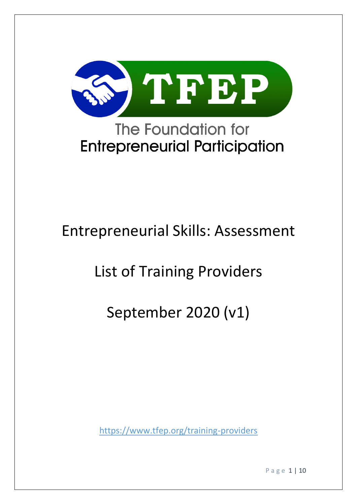

# **Entrepreneurial Participation**

## Entrepreneurial Skills: Assessment

## List of Training Providers

## September 2020 (v1)

<https://www.tfep.org/training-providers>

P a g e 1 | 10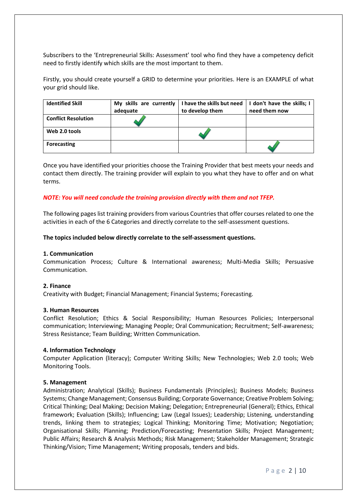Subscribers to the 'Entrepreneurial Skills: Assessment' tool who find they have a competency deficit need to firstly identify which skills are the most important to them.

Firstly, you should create yourself a GRID to determine your priorities. Here is an EXAMPLE of what your grid should like.

| <b>Identified Skill</b>    | My skills are currently | I have the skills but need | I don't have the skills; I |
|----------------------------|-------------------------|----------------------------|----------------------------|
|                            | adequate                | to develop them            | need them now              |
| <b>Conflict Resolution</b> |                         |                            |                            |
| Web 2.0 tools              |                         |                            |                            |
| <b>Forecasting</b>         |                         |                            |                            |

Once you have identified your priorities choose the Training Provider that best meets your needs and contact them directly. The training provider will explain to you what they have to offer and on what terms.

#### *NOTE: You will need conclude the training provision directly with them and not TFEP.*

The following pages list training providers from various Countries that offer courses related to one the activities in each of the 6 Categories and directly correlate to the self-assessment questions.

#### **The topics included below directly correlate to the self-assessment questions.**

#### **1. Communication**

Communication Process; Culture & International awareness; Multi-Media Skills; Persuasive Communication.

#### **2. Finance**

Creativity with Budget; Financial Management; Financial Systems; Forecasting.

#### **3. Human Resources**

Conflict Resolution; Ethics & Social Responsibility; Human Resources Policies; Interpersonal communication; Interviewing; Managing People; Oral Communication; Recruitment; Self-awareness; Stress Resistance; Team Building; Written Communication.

#### **4. Information Technology**

Computer Application (literacy); Computer Writing Skills; New Technologies; Web 2.0 tools; Web Monitoring Tools.

#### **5. Management**

Administration; Analytical (Skills); Business Fundamentals (Principles); Business Models; Business Systems; Change Management; Consensus Building; Corporate Governance; Creative Problem Solving; Critical Thinking; Deal Making; Decision Making; Delegation; Entrepreneurial (General); Ethics, Ethical framework; Evaluation (Skills); Influencing; Law (Legal Issues); Leadership; Listening, understanding trends, linking them to strategies; Logical Thinking; Monitoring Time; Motivation; Negotiation; Organisational Skills; Planning; Prediction/Forecasting; Presentation Skills; Project Management; Public Affairs; Research & Analysis Methods; Risk Management; Stakeholder Management; Strategic Thinking/Vision; Time Management; Writing proposals, tenders and bids.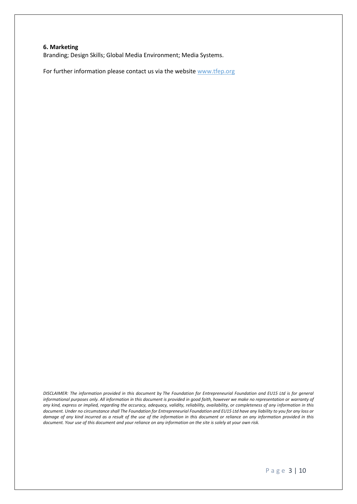#### **6. Marketing**

Branding; Design Skills; Global Media Environment; Media Systems.

For further information please contact us via the website [www.tfep.org](http://www.tfep.org/)

*DISCLAIMER: The information provided in this document by The Foundation for Entrepreneurial Foundation and EU15 Ltd is for general informational purposes only. All information in this document is provided in good faith, however we make no representation or warranty of any kind, express or implied, regarding the accuracy, adequacy, validity, reliability, availability, or completeness of any information in this document. Under no circumstance shall The Foundation for Entrepreneurial Foundation and EU15 Ltd have any liability to you for any loss or*  damage of any kind incurred as a result of the use of the information in this document or reliance on any information provided in this document. Your use of this document and your reliance on any information on the site is solely at your own risk.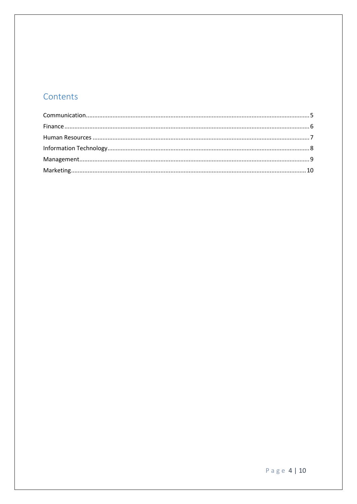### Contents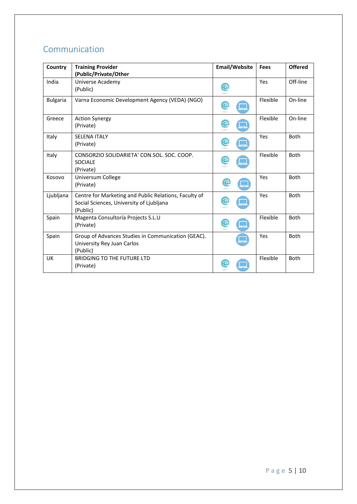### <span id="page-4-0"></span>Communication

| Country         | <b>Training Provider</b><br>(Public/Private/Other                                                             | <b>Email/Website</b> | <b>Fees</b> | <b>Offered</b> |
|-----------------|---------------------------------------------------------------------------------------------------------------|----------------------|-------------|----------------|
| India           | Universe Academy<br>(Public)                                                                                  | O                    | Yes         | Off-line       |
| <b>Bulgaria</b> | Varna Economic Development Agency (VEDA) (NGO)                                                                | $\bullet$            | Flexible    | On-line        |
| Greece          | <b>Action Synergy</b><br>(Private)                                                                            |                      | Flexible    | On-line        |
| Italy           | <b>SELENA ITALY</b><br>(Private)                                                                              |                      | Yes         | <b>Both</b>    |
| Italy           | CONSORZIO SOLIDARIETA' CON.SOL. SOC. COOP.<br><b>SOCIALE</b><br>(Private)                                     |                      | Flexible    | <b>Both</b>    |
| Kosovo          | Universum College<br>(Private)                                                                                |                      | Yes         | <b>Both</b>    |
| Ljubljana       | Centre for Marketing and Public Relations, Faculty of<br>Social Sciences, University of Ljubljana<br>(Public) |                      | Yes         | <b>Both</b>    |
| Spain           | Magenta Consultoría Projects S.L.U<br>(Private)                                                               | $\circlede$          | Flexible    | Both           |
| Spain           | Group of Advances Studies in Communication (GEAC).<br>University Rey Juan Carlos<br>(Public)                  |                      | Yes         | Both           |
| UK              | <b>BRIDGING TO THE FUTURE LTD</b><br>(Private)                                                                |                      | Flexible    | <b>Both</b>    |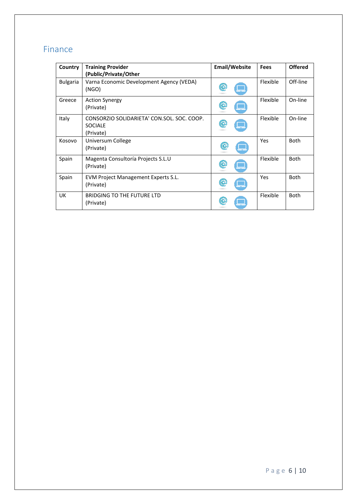## <span id="page-5-0"></span>Finance

| Country         | <b>Training Provider</b><br>(Public/Private/Other                         | <b>Email/Website</b> | <b>Fees</b> | <b>Offered</b> |
|-----------------|---------------------------------------------------------------------------|----------------------|-------------|----------------|
| <b>Bulgaria</b> | Varna Economic Development Agency (VEDA)<br>(NGO)                         |                      | Flexible    | Off-line       |
| Greece          | <b>Action Synergy</b><br>(Private)                                        |                      | Flexible    | On-line        |
| Italy           | CONSORZIO SOLIDARIETA' CON.SOL. SOC. COOP.<br><b>SOCIALE</b><br>(Private) |                      | Flexible    | On-line        |
| Kosovo          | Universum College<br>(Private)                                            | (C<br>L.             | Yes         | <b>Both</b>    |
| Spain           | Magenta Consultoría Projects S.L.U<br>(Private)                           |                      | Flexible    | <b>Both</b>    |
| Spain           | EVM Project Management Experts S.L.<br>(Private)                          |                      | Yes         | <b>Both</b>    |
| <b>UK</b>       | <b>BRIDGING TO THE FUTURE LTD</b><br>(Private)                            |                      | Flexible    | <b>Both</b>    |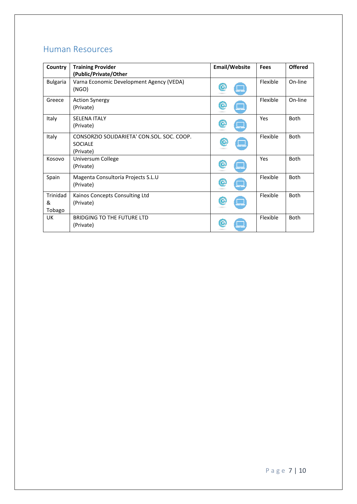### <span id="page-6-0"></span>Human Resources

| Country         | <b>Training Provider</b>                          | <b>Email/Website</b> | Fees     | <b>Offered</b> |
|-----------------|---------------------------------------------------|----------------------|----------|----------------|
|                 | (Public/Private/Other                             |                      |          |                |
| <b>Bulgaria</b> | Varna Economic Development Agency (VEDA)<br>(NGO) |                      | Flexible | On-line        |
|                 |                                                   |                      |          |                |
| Greece          | <b>Action Synergy</b><br>(Private)                | O                    | Flexible | On-line        |
|                 |                                                   |                      |          |                |
| Italy           | <b>SELENA ITALY</b>                               |                      | Yes      | Both           |
|                 | (Private)                                         |                      |          |                |
| Italy           | CONSORZIO SOLIDARIETA' CON.SOL. SOC. COOP.        |                      | Flexible | Both           |
|                 | <b>SOCIALE</b>                                    | (C                   |          |                |
|                 | (Private)                                         |                      |          |                |
| Kosovo          | Universum College                                 |                      | Yes      | <b>Both</b>    |
|                 | (Private)                                         |                      |          |                |
| Spain           | Magenta Consultoría Projects S.L.U                |                      | Flexible | <b>Both</b>    |
|                 | (Private)                                         |                      |          |                |
| Trinidad        | Kainos Concepts Consulting Ltd                    |                      | Flexible | Both           |
| &               | (Private)                                         |                      |          |                |
| Tobago          |                                                   |                      |          |                |
| UK.             | <b>BRIDGING TO THE FUTURE LTD</b>                 |                      | Flexible | <b>Both</b>    |
|                 | (Private)                                         |                      |          |                |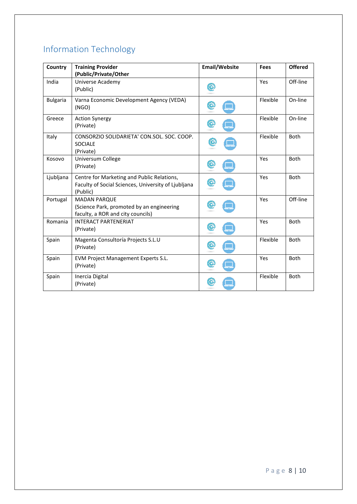## <span id="page-7-0"></span>Information Technology

| Country         | <b>Training Provider</b><br>(Public/Private/Other                                                             | <b>Email/Website</b> | Fees     | <b>Offered</b> |
|-----------------|---------------------------------------------------------------------------------------------------------------|----------------------|----------|----------------|
| India           | Universe Academy<br>(Public)                                                                                  |                      | Yes      | Off-line       |
| <b>Bulgaria</b> | Varna Economic Development Agency (VEDA)<br>(NGO)                                                             |                      | Flexible | On-line        |
| Greece          | <b>Action Synergy</b><br>(Private)                                                                            |                      | Flexible | On-line        |
| Italy           | CONSORZIO SOLIDARIETA' CON.SOL. SOC. COOP.<br><b>SOCIALE</b><br>(Private)                                     |                      | Flexible | <b>Both</b>    |
| Kosovo          | Universum College<br>(Private)                                                                                |                      | Yes      | <b>Both</b>    |
| Ljubljana       | Centre for Marketing and Public Relations,<br>Faculty of Social Sciences, University of Ljubljana<br>(Public) |                      | Yes      | <b>Both</b>    |
| Portugal        | <b>MADAN PARQUE</b><br>(Science Park, promoted by an engineering<br>faculty, a ROR and city councils)         |                      | Yes      | Off-line       |
| Romania         | <b>INTERACT PARTENERIAT</b><br>(Private)                                                                      |                      | Yes      | <b>Both</b>    |
| Spain           | Magenta Consultoría Projects S.L.U<br>(Private)                                                               |                      | Flexible | <b>Both</b>    |
| Spain           | <b>EVM Project Management Experts S.L.</b><br>(Private)                                                       |                      | Yes      | <b>Both</b>    |
| Spain           | Inercia Digital<br>(Private)                                                                                  |                      | Flexible | <b>Both</b>    |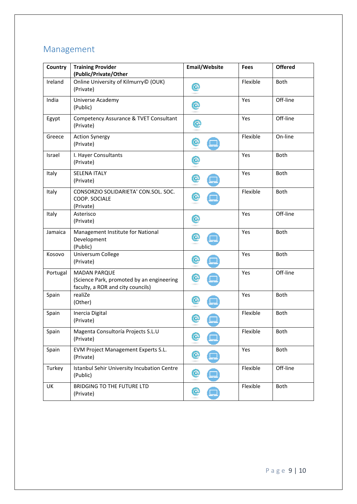## <span id="page-8-0"></span>Management

| Country  | <b>Training Provider</b><br>(Public/Private/Other                                                     | <b>Email/Website</b> | Fees     | <b>Offered</b> |
|----------|-------------------------------------------------------------------------------------------------------|----------------------|----------|----------------|
| Ireland  | Online University of Kilmurry© (OUK)<br>(Private)                                                     | $\circledcirc$       | Flexible | Both           |
| India    | Universe Academy<br>(Public)                                                                          | C                    | Yes      | Off-line       |
| Egypt    | Competency Assurance & TVET Consultant<br>(Private)                                                   | $\circledcirc$       | Yes      | Off-line       |
| Greece   | <b>Action Synergy</b><br>(Private)                                                                    | $\circled{c}$        | Flexible | On-line        |
| Israel   | I. Hayer Consultants<br>(Private)                                                                     | $\circlede$          | Yes      | <b>Both</b>    |
| Italy    | <b>SELENA ITALY</b><br>(Private)                                                                      | C                    | Yes      | Both           |
| Italy    | CONSORZIO SOLIDARIETA' CON.SOL. SOC.<br>COOP. SOCIALE<br>(Private)                                    | $\circlede$          | Flexible | Both           |
| Italy    | Asterisco<br>(Private)                                                                                | $\circlede$          | Yes      | Off-line       |
| Jamaica  | Management Institute for National<br>Development<br>(Public)                                          | $\circledcirc$       | Yes      | <b>Both</b>    |
| Kosovo   | Universum College<br>(Private)                                                                        | $\circledcirc$       | Yes      | Both           |
| Portugal | <b>MADAN PARQUE</b><br>(Science Park, promoted by an engineering<br>faculty, a ROR and city councils) | O                    | Yes      | Off-line       |
| Spain    | realiZe<br>(Other)                                                                                    | $\circledcirc$       | Yes      | Both           |
| Spain    | Inercia Digital<br>(Private)                                                                          |                      | Flexible | <b>Both</b>    |
| Spain    | Magenta Consultoría Projects S.L.U<br>(Private)                                                       | $\circledcirc$       | Flexible | Both           |
| Spain    | EVM Project Management Experts S.L.<br>(Private)                                                      |                      | Yes      | Both           |
| Turkey   | Istanbul Sehir University Incubation Centre<br>(Public)                                               | (O                   | Flexible | Off-line       |
| UK       | BRIDGING TO THE FUTURE LTD<br>(Private)                                                               | C                    | Flexible | Both           |